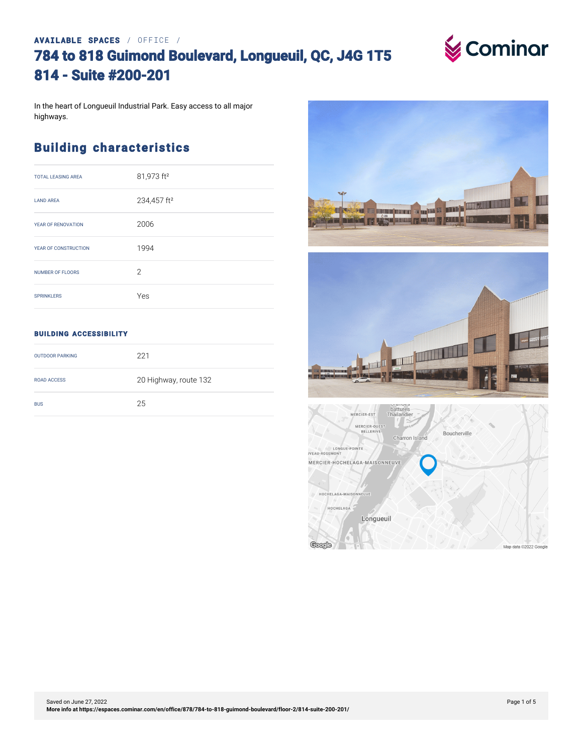# **AVAILABLE SPACES** / OFFICE / **784 to 818 Guimond Boulevard, Longueuil, QC, J4G 1T5 814 - Suite #200-201**



In the heart of Longueuil Industrial Park. Easy access to all major highways.

### **Building characteristics**

| <b>TOTAL LEASING AREA</b> | 81,973 ft <sup>2</sup>  |
|---------------------------|-------------------------|
| <b>LAND AREA</b>          | 234,457 ft <sup>2</sup> |
| YEAR OF RENOVATION        | 2006                    |
| YEAR OF CONSTRUCTION      | 1994                    |
| <b>NUMBER OF FLOORS</b>   | $\mathcal{P}$           |
| <b>SPRINKLERS</b>         | Yes                     |

### **BUILDING ACCESSIBILITY**

| <b>OUTDOOR PARKING</b> | 221                   |
|------------------------|-----------------------|
| <b>ROAD ACCESS</b>     | 20 Highway, route 132 |
| <b>BUS</b>             | 25                    |

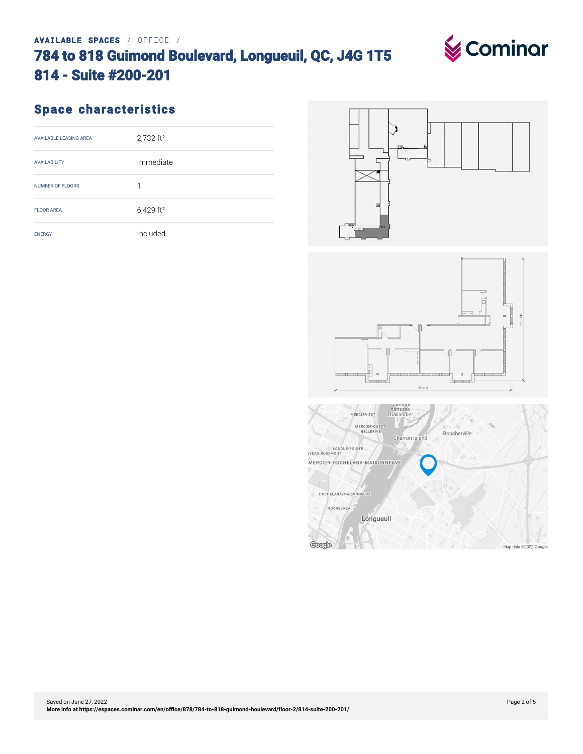## **AVAILABLE SPACES** / OFFICE / **784 to 818 Guimond Boulevard, Longueuil, QC, J4G 1T5 814 - Suite #200-201**

# **Space characteristics**

| <b>AVAILABLE LEASING AREA</b> | 2,732 ft <sup>2</sup>   |
|-------------------------------|-------------------------|
| <b>AVAILABILITY</b>           | Immediate               |
| <b>NUMBER OF FLOORS</b>       | 1                       |
| <b>FLOOR AREA</b>             | $6,429$ ft <sup>2</sup> |
| <b>ENERGY</b>                 | Included                |





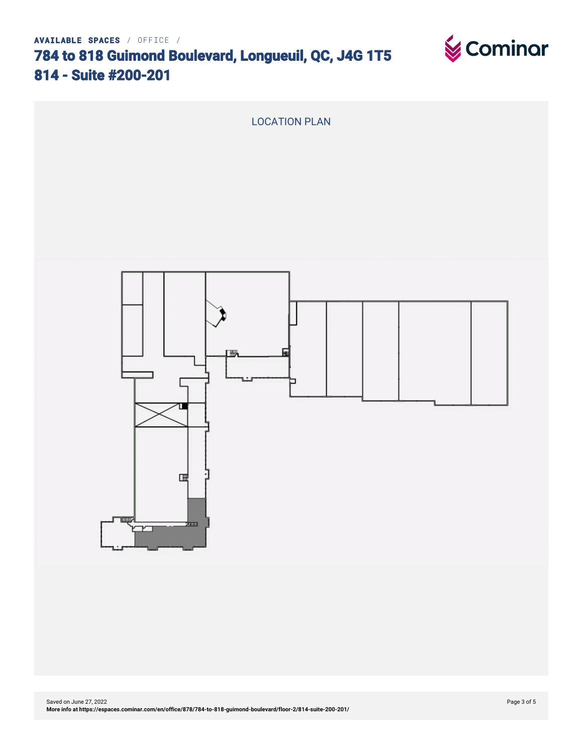**784 to 818 Guimond Boulevard, Longueuil, QC, J4G 1T5 814 - Suite #200-201**





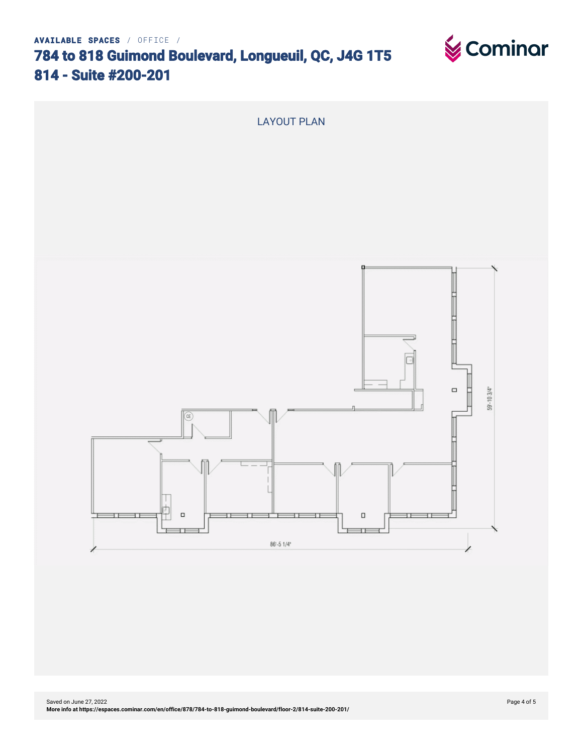